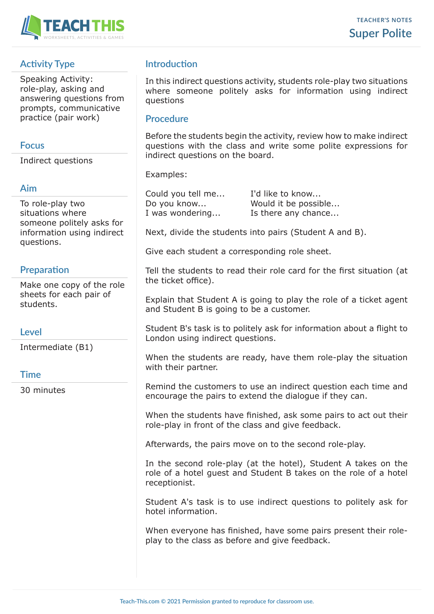

# **Activity Type**

Speaking Activity: role-play, asking and answering questions from prompts, communicative practice (pair work)

### **Focus**

Indirect questions

# **Aim**

To role-play two situations where someone politely asks for information using indirect questions.

# **Preparation**

Make one copy of the role sheets for each pair of students.

# **Level**

Intermediate (B1)

#### **Time**

30 minutes

# **Introduction**

In this indirect questions activity, students role-play two situations where someone politely asks for information using indirect questions

### **Procedure**

Before the students begin the activity, review how to make indirect questions with the class and write some polite expressions for indirect questions on the board.

Examples:

| Could you tell me | I'd like to know     |
|-------------------|----------------------|
| Do you know       | Would it be possible |
| I was wondering   | Is there any chance  |

Next, divide the students into pairs (Student A and B).

Give each student a corresponding role sheet.

Tell the students to read their role card for the first situation (at the ticket office).

Explain that Student A is going to play the role of a ticket agent and Student B is going to be a customer.

Student B's task is to politely ask for information about a flight to London using indirect questions.

When the students are ready, have them role-play the situation with their partner.

Remind the customers to use an indirect question each time and encourage the pairs to extend the dialogue if they can.

When the students have finished, ask some pairs to act out their role-play in front of the class and give feedback.

Afterwards, the pairs move on to the second role-play.

In the second role-play (at the hotel), Student A takes on the role of a hotel guest and Student B takes on the role of a hotel receptionist.

Student A's task is to use indirect questions to politely ask for hotel information.

When everyone has finished, have some pairs present their roleplay to the class as before and give feedback.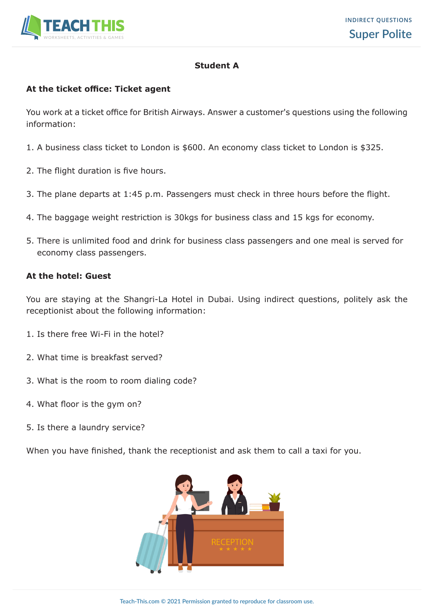

#### **Student A**

#### **At the ticket office: Ticket agent**

You work at a ticket office for British Airways. Answer a customer's questions using the following information:

- 1. A business class ticket to London is \$600. An economy class ticket to London is \$325.
- 2. The flight duration is five hours.
- 3. The plane departs at 1:45 p.m. Passengers must check in three hours before the flight.
- 4. The baggage weight restriction is 30kgs for business class and 15 kgs for economy.
- 5. There is unlimited food and drink for business class passengers and one meal is served for economy class passengers.

#### **At the hotel: Guest**

You are staying at the Shangri-La Hotel in Dubai. Using indirect questions, politely ask the receptionist about the following information:

- 1. Is there free Wi-Fi in the hotel?
- 2. What time is breakfast served?
- 3. What is the room to room dialing code?
- 4. What floor is the gym on?
- 5. Is there a laundry service?

When you have finished, thank the receptionist and ask them to call a taxi for you.